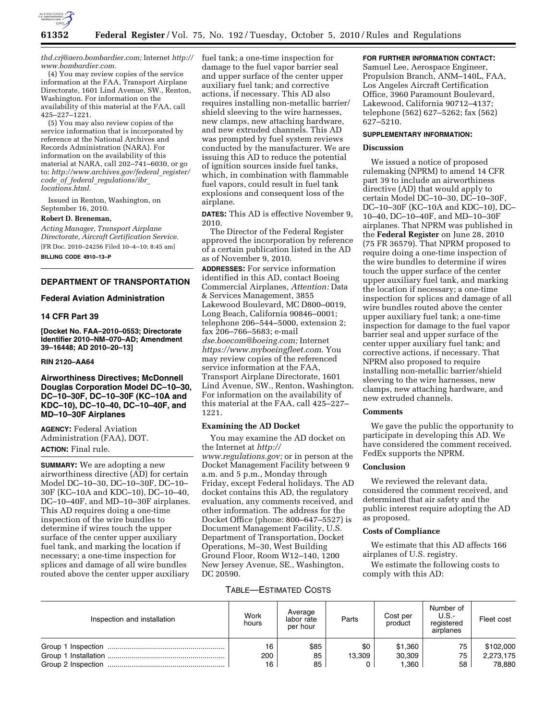

*[thd.crj@aero.bombardier.com;](mailto:thd.crj@aero.bombardier.com)* Internet *[http://](http://www.bombardier.com)  [www.bombardier.com.](http://www.bombardier.com)* 

(4) You may review copies of the service information at the FAA, Transport Airplane Directorate, 1601 Lind Avenue, SW., Renton, Washington. For information on the availability of this material at the FAA, call 425–227–1221.

(5) You may also review copies of the service information that is incorporated by reference at the National Archives and Records Administration (NARA). For information on the availability of this material at NARA, call 202–741–6030, or go to: *[http://www.archives.gov/federal](http://www.archives.gov/federal_register/code_of_federal_regulations/ibr_locations.html)*\_*register/ code*\_*of*\_*federal*\_*[regulations/ibr](http://www.archives.gov/federal_register/code_of_federal_regulations/ibr_locations.html)*\_ *[locations.html.](http://www.archives.gov/federal_register/code_of_federal_regulations/ibr_locations.html)* 

Issued in Renton, Washington, on September 16, 2010.

## **Robert D. Breneman,**

*Acting Manager, Transport Airplane Directorate, Aircraft Certification Service.*  [FR Doc. 2010–24256 Filed 10–4–10; 8:45 am]

**BILLING CODE 4910–13–P** 

# **DEPARTMENT OF TRANSPORTATION**

# **Federal Aviation Administration**

### **14 CFR Part 39**

**[Docket No. FAA–2010–0553; Directorate Identifier 2010–NM–070–AD; Amendment 39–16448; AD 2010–20–13]** 

## **RIN 2120–AA64**

**Airworthiness Directives; McDonnell Douglas Corporation Model DC–10–30, DC–10–30F, DC–10–30F (KC–10A and KDC–10), DC–10–40, DC–10–40F, and MD–10–30F Airplanes** 

**AGENCY:** Federal Aviation Administration (FAA), DOT. **ACTION:** Final rule.

**SUMMARY:** We are adopting a new airworthiness directive (AD) for certain Model DC–10–30, DC–10–30F, DC–10– 30F (KC–10A and KDC–10), DC–10–40, DC–10–40F, and MD–10–30F airplanes. This AD requires doing a one-time inspection of the wire bundles to determine if wires touch the upper surface of the center upper auxiliary fuel tank, and marking the location if necessary; a one-time inspection for splices and damage of all wire bundles routed above the center upper auxiliary

fuel tank; a one-time inspection for damage to the fuel vapor barrier seal and upper surface of the center upper auxiliary fuel tank; and corrective actions, if necessary. This AD also requires installing non-metallic barrier/ shield sleeving to the wire harnesses, new clamps, new attaching hardware, and new extruded channels. This AD was prompted by fuel system reviews conducted by the manufacturer. We are issuing this AD to reduce the potential of ignition sources inside fuel tanks, which, in combination with flammable fuel vapors, could result in fuel tank explosions and consequent loss of the airplane.

**DATES:** This AD is effective November 9, 2010.

The Director of the Federal Register approved the incorporation by reference of a certain publication listed in the AD as of November 9, 2010.

**ADDRESSES:** For service information identified in this AD, contact Boeing Commercial Airplanes, *Attention:* Data & Services Management, 3855 Lakewood Boulevard, MC D800–0019, Long Beach, California 90846–0001; telephone 206–544–5000, extension 2; fax 206–766–5683; e-mail *[dse.boecom@boeing.com;](mailto:dse.boecom@boeing.com)* Internet *<https://www.myboeingfleet.com>*. You may review copies of the referenced service information at the FAA, Transport Airplane Directorate, 1601 Lind Avenue, SW., Renton, Washington. For information on the availability of this material at the FAA, call 425–227– 1221.

#### **Examining the AD Docket**

You may examine the AD docket on the Internet at *[http://](http://www.regulations.gov)  [www.regulations.gov;](http://www.regulations.gov)* or in person at the Docket Management Facility between 9 a.m. and 5 p.m., Monday through Friday, except Federal holidays. The AD docket contains this AD, the regulatory evaluation, any comments received, and other information. The address for the Docket Office (phone: 800–647–5527) is Document Management Facility, U.S. Department of Transportation, Docket Operations, M–30, West Building Ground Floor, Room W12–140, 1200 New Jersey Avenue, SE., Washington, DC 20590.

# **FOR FURTHER INFORMATION CONTACT:**

Samuel Lee, Aerospace Engineer, Propulsion Branch, ANM–140L, FAA, Los Angeles Aircraft Certification Office, 3960 Paramount Boulevard, Lakewood, California 90712–4137; telephone (562) 627–5262; fax (562) 627–5210.

#### **SUPPLEMENTARY INFORMATION:**

## **Discussion**

We issued a notice of proposed rulemaking (NPRM) to amend 14 CFR part 39 to include an airworthiness directive (AD) that would apply to certain Model DC–10–30, DC–10–30F, DC–10–30F (KC–10A and KDC–10), DC– 10–40, DC–10–40F, and MD–10–30F airplanes. That NPRM was published in the **Federal Register** on June 28, 2010 (75 FR 36579). That NPRM proposed to require doing a one-time inspection of the wire bundles to determine if wires touch the upper surface of the center upper auxiliary fuel tank, and marking the location if necessary; a one-time inspection for splices and damage of all wire bundles routed above the center upper auxiliary fuel tank; a one-time inspection for damage to the fuel vapor barrier seal and upper surface of the center upper auxiliary fuel tank; and corrective actions, if necessary. That NPRM also proposed to require installing non-metallic barrier/shield sleeving to the wire harnesses, new clamps, new attaching hardware, and new extruded channels.

#### **Comments**

We gave the public the opportunity to participate in developing this AD. We have considered the comment received. FedEx supports the NPRM.

#### **Conclusion**

We reviewed the relevant data, considered the comment received, and determined that air safety and the public interest require adopting the AD as proposed.

## **Costs of Compliance**

We estimate that this AD affects 166 airplanes of U.S. registry.

We estimate the following costs to comply with this AD:

# TABLE—ESTIMATED COSTS

| Inspection and installation | Work<br>hours   | Average<br>labor rate<br>per hour | Parts         | Cost per<br>product        | Number of<br>U.S.<br>reaistered<br>airplanes | Fleet cost                       |
|-----------------------------|-----------------|-----------------------------------|---------------|----------------------------|----------------------------------------------|----------------------------------|
|                             | 16<br>200<br>16 | \$85<br>85<br>85                  | \$0<br>13.309 | \$1,360<br>30,309<br>1.360 | 75<br>75<br>58                               | \$102,000<br>2,273,175<br>78,880 |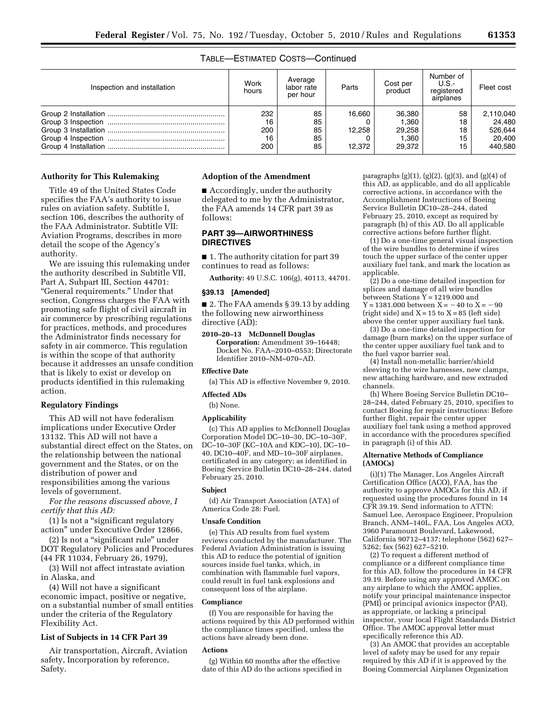# TABLE—ESTIMATED COSTS—Continued

| Inspection and installation | Work<br>hours                 | Average<br>labor rate<br>per hour | Parts                      | Cost per<br>product                          | Number of<br>U.S.-<br>registered<br>airplanes | Fleet cost                                          |
|-----------------------------|-------------------------------|-----------------------------------|----------------------------|----------------------------------------------|-----------------------------------------------|-----------------------------------------------------|
|                             | 232<br>16<br>200<br>16<br>200 | 85<br>85<br>85<br>85<br>85        | 16.660<br>12.258<br>12.372 | 36,380<br>1,360<br>29,258<br>1,360<br>29.372 | 58<br>18<br>18<br>15<br>15                    | 2,110,040<br>24,480<br>526,644<br>20,400<br>440.580 |

#### **Authority for This Rulemaking**

Title 49 of the United States Code specifies the FAA's authority to issue rules on aviation safety. Subtitle I, section 106, describes the authority of the FAA Administrator. Subtitle VII: Aviation Programs, describes in more detail the scope of the Agency's authority.

We are issuing this rulemaking under the authority described in Subtitle VII, Part A, Subpart III, Section 44701: ''General requirements.'' Under that section, Congress charges the FAA with promoting safe flight of civil aircraft in air commerce by prescribing regulations for practices, methods, and procedures the Administrator finds necessary for safety in air commerce. This regulation is within the scope of that authority because it addresses an unsafe condition that is likely to exist or develop on products identified in this rulemaking action.

# **Regulatory Findings**

This AD will not have federalism implications under Executive Order 13132. This AD will not have a substantial direct effect on the States, on the relationship between the national government and the States, or on the distribution of power and responsibilities among the various levels of government.

*For the reasons discussed above, I certify that this AD:* 

(1) Is not a ''significant regulatory action'' under Executive Order 12866,

(2) Is not a ''significant rule'' under DOT Regulatory Policies and Procedures (44 FR 11034, February 26, 1979),

(3) Will not affect intrastate aviation in Alaska, and

(4) Will not have a significant economic impact, positive or negative, on a substantial number of small entities under the criteria of the Regulatory Flexibility Act.

# **List of Subjects in 14 CFR Part 39**

Air transportation, Aircraft, Aviation safety, Incorporation by reference, Safety.

#### **Adoption of the Amendment**

■ Accordingly, under the authority delegated to me by the Administrator, the FAA amends 14 CFR part 39 as follows:

# **PART 39—AIRWORTHINESS DIRECTIVES**

■ 1. The authority citation for part 39 continues to read as follows:

**Authority:** 49 U.S.C. 106(g), 40113, 44701.

#### **§39.13 [Amended]**

■ 2. The FAA amends § 39.13 by adding the following new airworthiness directive (AD):

**2010–20–13 McDonnell Douglas Corporation:** Amendment 39–16448; Docket No. FAA–2010–0553; Directorate Identifier 2010–NM–070–AD.

#### **Effective Date**

(a) This AD is effective November 9, 2010.

## **Affected ADs**

(b) None.

#### **Applicability**

(c) This AD applies to McDonnell Douglas Corporation Model DC–10–30, DC–10–30F, DC–10–30F (KC–10A and KDC–10), DC–10– 40, DC10–40F, and MD–10–30F airplanes, certificated in any category; as identified in Boeing Service Bulletin DC10–28–244, dated February 25, 2010.

#### **Subject**

(d) Air Transport Association (ATA) of America Code 28: Fuel.

#### **Unsafe Condition**

(e) This AD results from fuel system reviews conducted by the manufacturer. The Federal Aviation Administration is issuing this AD to reduce the potential of ignition sources inside fuel tanks, which, in combination with flammable fuel vapors, could result in fuel tank explosions and consequent loss of the airplane.

#### **Compliance**

(f) You are responsible for having the actions required by this AD performed within the compliance times specified, unless the actions have already been done.

## **Actions**

(g) Within 60 months after the effective date of this AD do the actions specified in

paragraphs  $(g)(1)$ ,  $(g)(2)$ ,  $(g)(3)$ , and  $(g)(4)$  of this AD, as applicable, and do all applicable corrective actions, in accordance with the Accomplishment Instructions of Boeing Service Bulletin DC10–28–244, dated February 25, 2010, except as required by paragraph (h) of this AD. Do all applicable corrective actions before further flight.

(1) Do a one-time general visual inspection of the wire bundles to determine if wires touch the upper surface of the center upper auxiliary fuel tank, and mark the location as applicable.

(2) Do a one-time detailed inspection for splices and damage of all wire bundles between Stations  $Y = 1219.000$  and  $Y = 1381.000$  between  $X = -40$  to  $X = -90$ (right side) and  $X = 15$  to  $X = 85$  (left side) above the center upper auxiliary fuel tank.

(3) Do a one-time detailed inspection for damage (burn marks) on the upper surface of the center upper auxiliary fuel tank and to the fuel vapor barrier seal.

(4) Install non-metallic barrier/shield sleeving to the wire harnesses, new clamps, new attaching hardware, and new extruded channels.

(h) Where Boeing Service Bulletin DC10– 28–244, dated February 25, 2010, specifies to contact Boeing for repair instructions: Before further flight, repair the center upper auxiliary fuel tank using a method approved in accordance with the procedures specified in paragraph (i) of this AD.

### **Alternative Methods of Compliance (AMOCs)**

(i)(1) The Manager, Los Angeles Aircraft Certification Office (ACO), FAA, has the authority to approve AMOCs for this AD, if requested using the procedures found in 14 CFR 39.19. Send information to ATTN: Samuel Lee, Aerospace Engineer, Propulsion Branch, ANM–140L, FAA, Los Angeles ACO, 3960 Paramount Boulevard, Lakewood, California 90712–4137; telephone (562) 627– 5262; fax (562) 627–5210.

(2) To request a different method of compliance or a different compliance time for this AD, follow the procedures in 14 CFR 39.19. Before using any approved AMOC on any airplane to which the AMOC applies, notify your principal maintenance inspector (PMI) or principal avionics inspector (PAI), as appropriate, or lacking a principal inspector, your local Flight Standards District Office. The AMOC approval letter must specifically reference this AD.

(3) An AMOC that provides an acceptable level of safety may be used for any repair required by this AD if it is approved by the Boeing Commercial Airplanes Organization